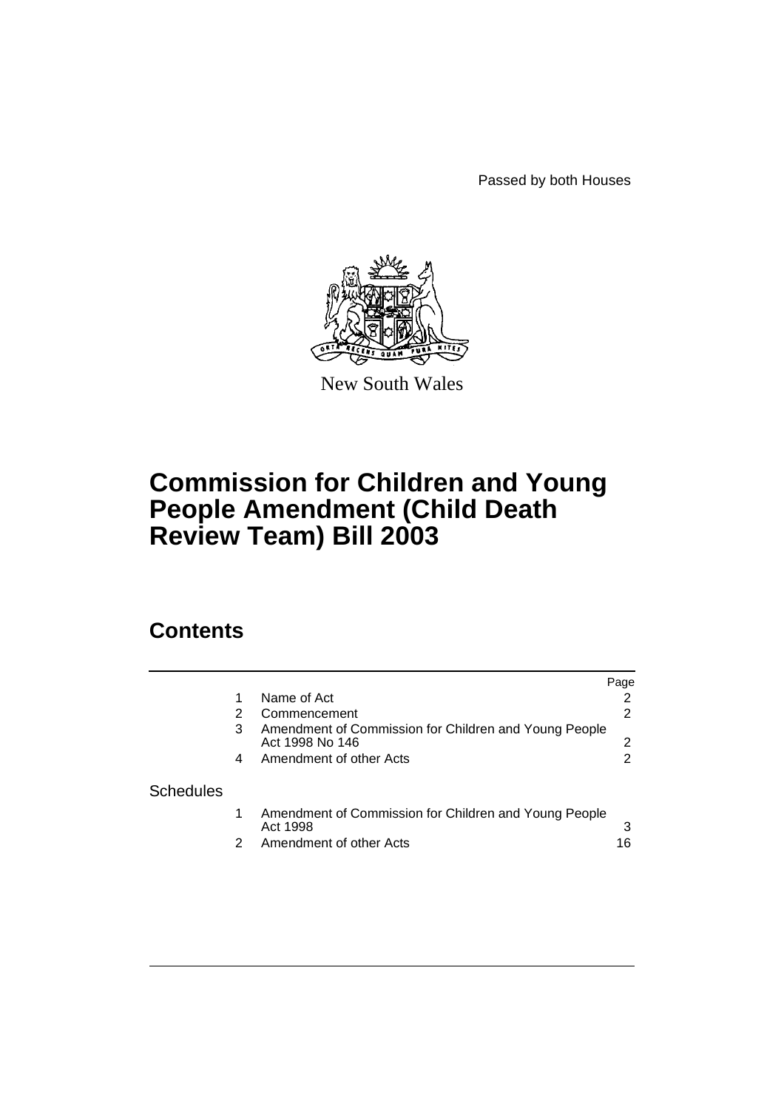Passed by both Houses



New South Wales

# **Commission for Children and Young People Amendment (Child Death Review Team) Bill 2003**

# **Contents**

|                  |   |                                                                          | Page |
|------------------|---|--------------------------------------------------------------------------|------|
|                  |   | Name of Act                                                              |      |
|                  |   | Commencement                                                             | 2    |
|                  | 3 | Amendment of Commission for Children and Young People<br>Act 1998 No 146 |      |
|                  | 4 | Amendment of other Acts                                                  | 2    |
| <b>Schedules</b> |   |                                                                          |      |
|                  |   |                                                                          |      |
|                  |   | Amendment of Commission for Children and Young People<br>Act 1998        |      |
|                  |   | Amendment of other Acts                                                  | 16   |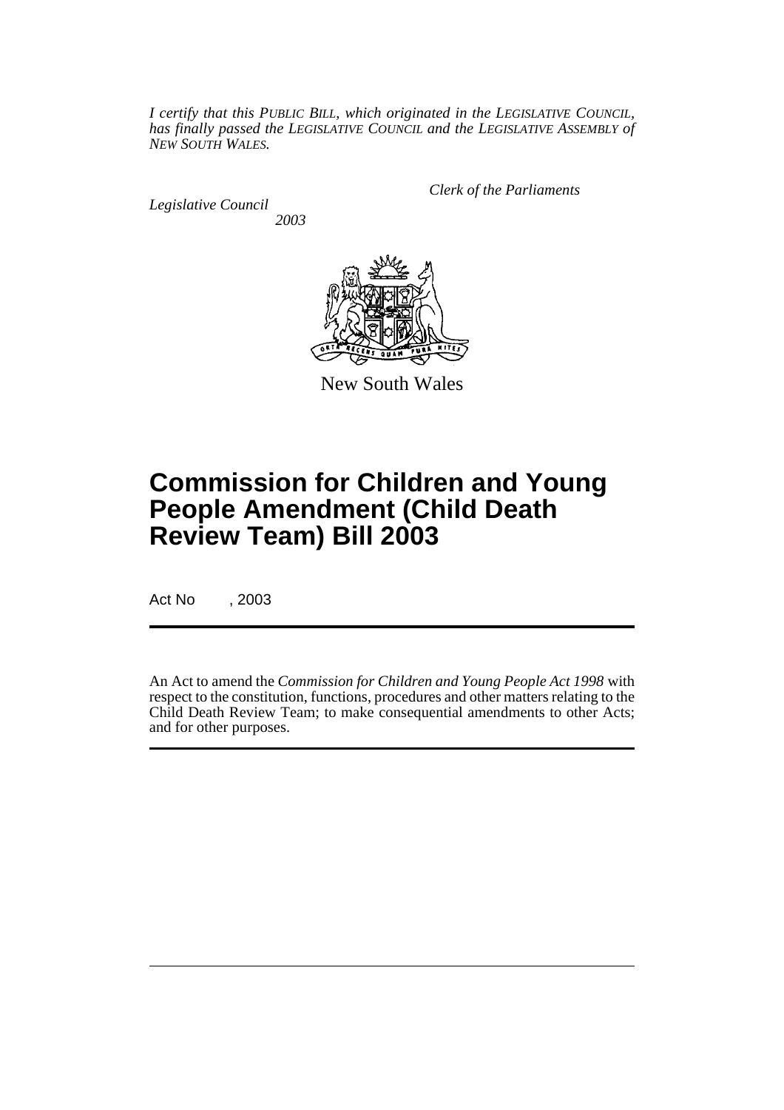*I certify that this PUBLIC BILL, which originated in the LEGISLATIVE COUNCIL, has finally passed the LEGISLATIVE COUNCIL and the LEGISLATIVE ASSEMBLY of NEW SOUTH WALES.*

*Legislative Council 2003* *Clerk of the Parliaments*



New South Wales

# **Commission for Children and Young People Amendment (Child Death Review Team) Bill 2003**

Act No , 2003

An Act to amend the *Commission for Children and Young People Act 1998* with respect to the constitution, functions, procedures and other matters relating to the Child Death Review Team; to make consequential amendments to other Acts; and for other purposes.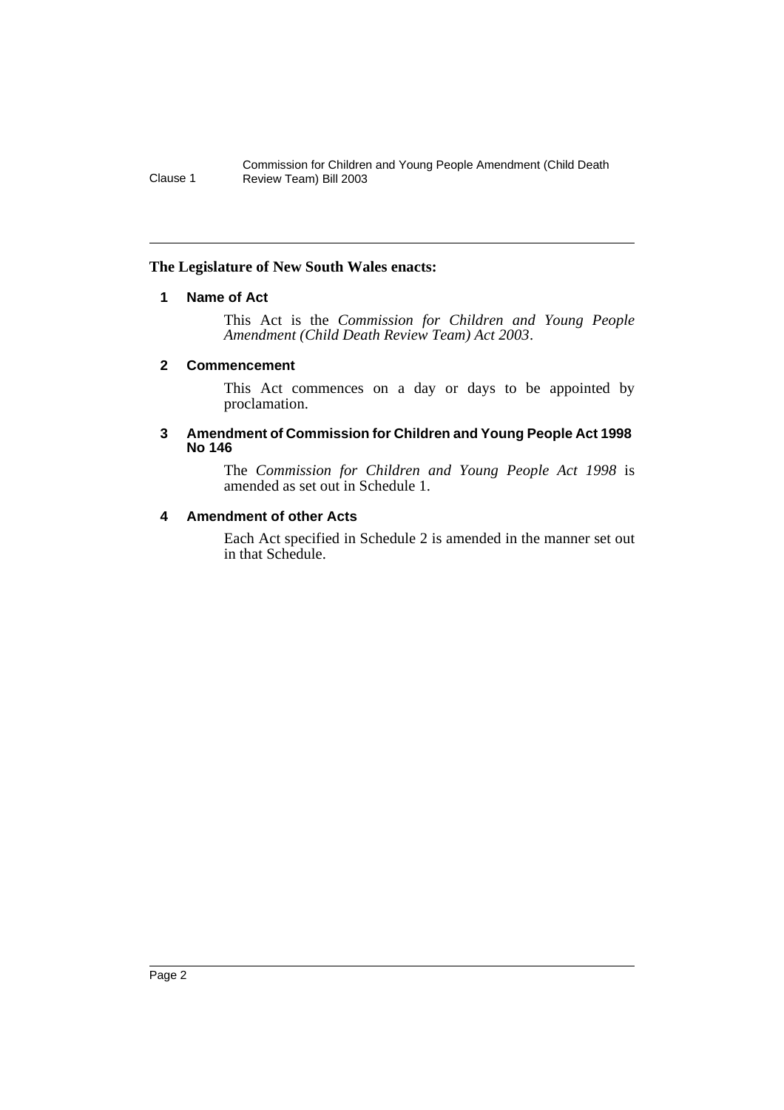# <span id="page-2-0"></span>**The Legislature of New South Wales enacts:**

# **1 Name of Act**

This Act is the *Commission for Children and Young People Amendment (Child Death Review Team) Act 2003*.

#### <span id="page-2-1"></span>**2 Commencement**

This Act commences on a day or days to be appointed by proclamation.

#### <span id="page-2-2"></span>**3 Amendment of Commission for Children and Young People Act 1998 No 146**

The *Commission for Children and Young People Act 1998* is amended as set out in Schedule 1.

# <span id="page-2-3"></span>**4 Amendment of other Acts**

Each Act specified in Schedule 2 is amended in the manner set out in that Schedule.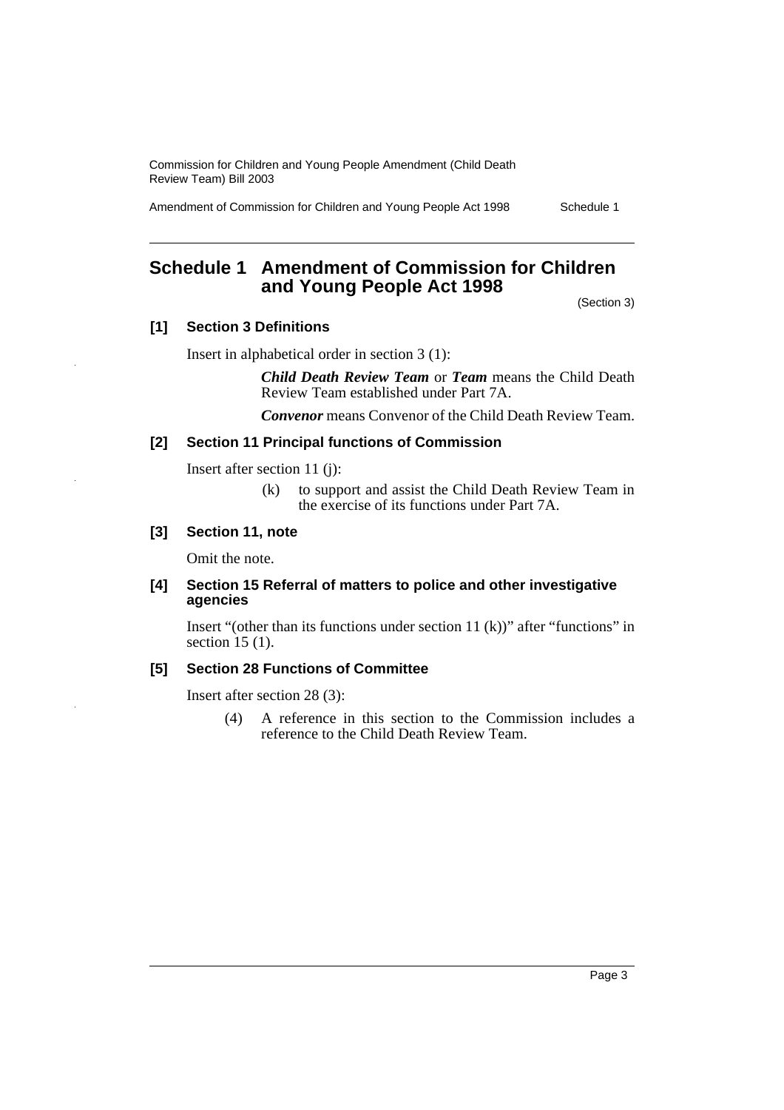Amendment of Commission for Children and Young People Act 1998 Schedule 1

# <span id="page-3-0"></span>**Schedule 1 Amendment of Commission for Children and Young People Act 1998**

(Section 3)

# **[1] Section 3 Definitions**

Insert in alphabetical order in section 3 (1):

*Child Death Review Team* or *Team* means the Child Death Review Team established under Part 7A.

*Convenor* means Convenor of the Child Death Review Team.

## **[2] Section 11 Principal functions of Commission**

Insert after section 11 (j):

(k) to support and assist the Child Death Review Team in the exercise of its functions under Part 7A.

#### **[3] Section 11, note**

Omit the note.

#### **[4] Section 15 Referral of matters to police and other investigative agencies**

Insert "(other than its functions under section 11  $(k)$ )" after "functions" in section 15 (1).

## **[5] Section 28 Functions of Committee**

Insert after section 28 (3):

(4) A reference in this section to the Commission includes a reference to the Child Death Review Team.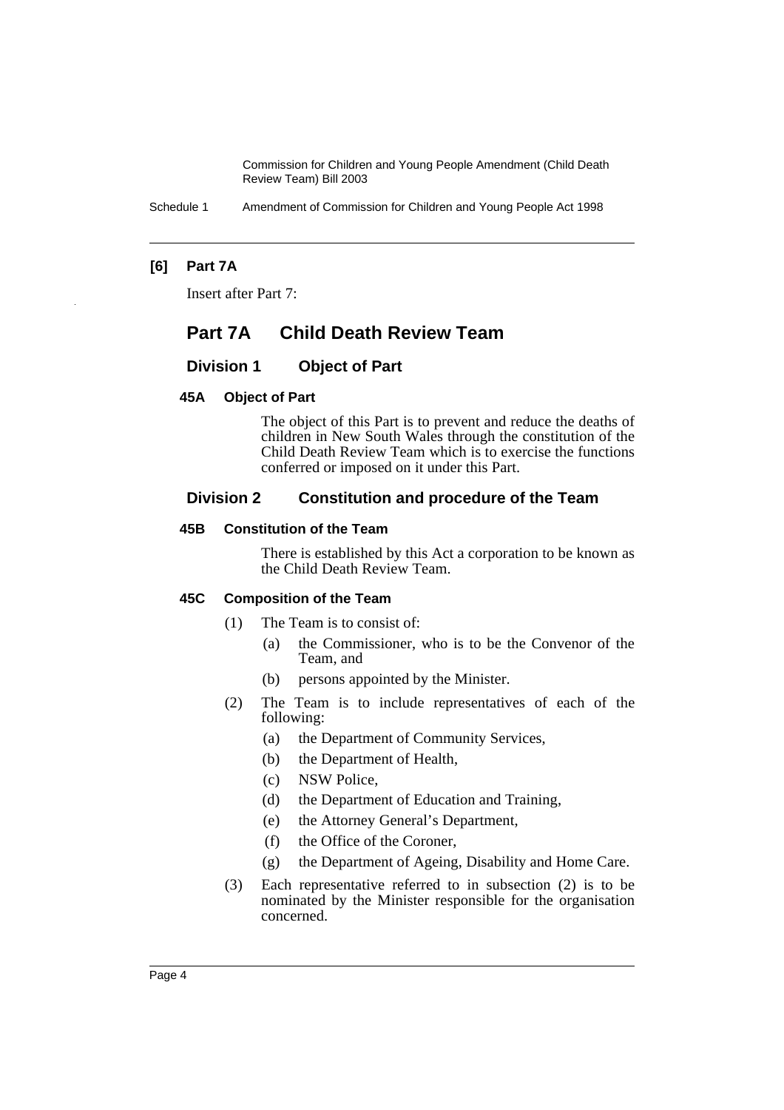Schedule 1 Amendment of Commission for Children and Young People Act 1998

# **[6] Part 7A**

Insert after Part 7:

# **Part 7A Child Death Review Team**

# **Division 1 Object of Part**

#### **45A Object of Part**

The object of this Part is to prevent and reduce the deaths of children in New South Wales through the constitution of the Child Death Review Team which is to exercise the functions conferred or imposed on it under this Part.

# **Division 2 Constitution and procedure of the Team**

#### **45B Constitution of the Team**

There is established by this Act a corporation to be known as the Child Death Review Team.

#### **45C Composition of the Team**

- (1) The Team is to consist of:
	- (a) the Commissioner, who is to be the Convenor of the Team, and
	- (b) persons appointed by the Minister.
- (2) The Team is to include representatives of each of the following:
	- (a) the Department of Community Services,
	- (b) the Department of Health,
	- (c) NSW Police,
	- (d) the Department of Education and Training,
	- (e) the Attorney General's Department,
	- (f) the Office of the Coroner,
	- (g) the Department of Ageing, Disability and Home Care.
- (3) Each representative referred to in subsection (2) is to be nominated by the Minister responsible for the organisation concerned.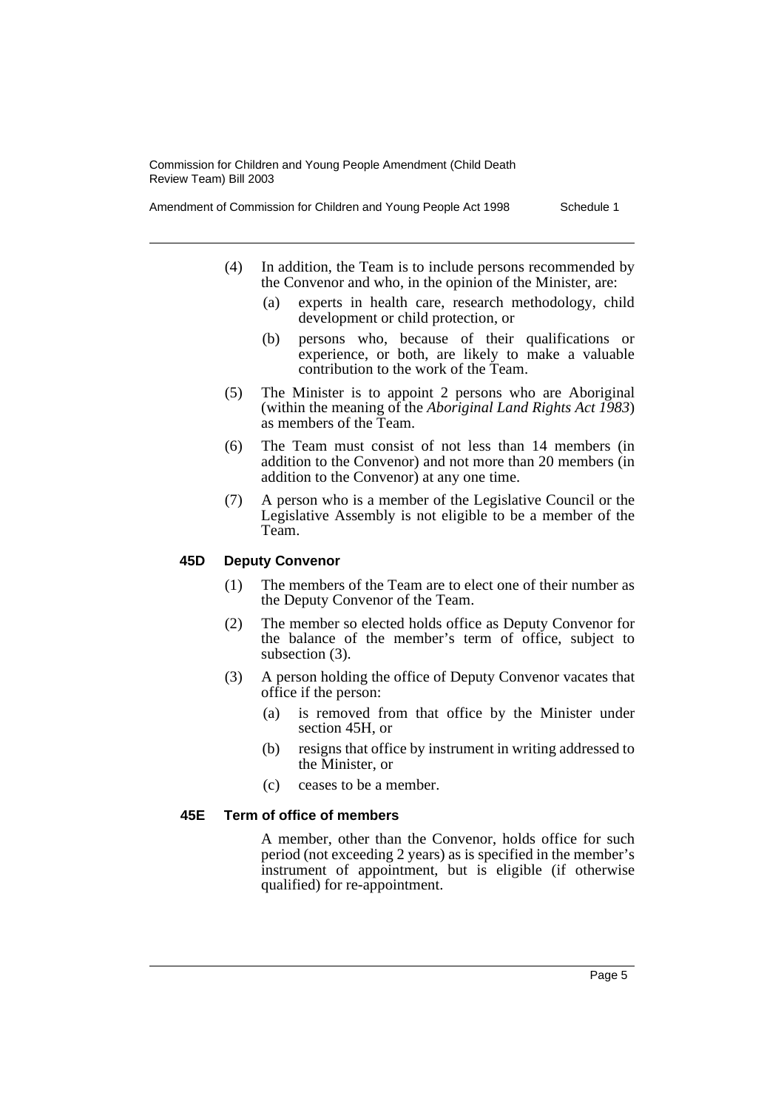- (4) In addition, the Team is to include persons recommended by the Convenor and who, in the opinion of the Minister, are:
	- (a) experts in health care, research methodology, child development or child protection, or
	- (b) persons who, because of their qualifications or experience, or both, are likely to make a valuable contribution to the work of the Team.
- (5) The Minister is to appoint 2 persons who are Aboriginal (within the meaning of the *Aboriginal Land Rights Act 1983*) as members of the Team.
- (6) The Team must consist of not less than 14 members (in addition to the Convenor) and not more than 20 members (in addition to the Convenor) at any one time.
- (7) A person who is a member of the Legislative Council or the Legislative Assembly is not eligible to be a member of the Team.

#### **45D Deputy Convenor**

- (1) The members of the Team are to elect one of their number as the Deputy Convenor of the Team.
- (2) The member so elected holds office as Deputy Convenor for the balance of the member's term of office, subject to subsection (3).
- (3) A person holding the office of Deputy Convenor vacates that office if the person:
	- (a) is removed from that office by the Minister under section 45H, or
	- (b) resigns that office by instrument in writing addressed to the Minister, or
	- (c) ceases to be a member.

#### **45E Term of office of members**

A member, other than the Convenor, holds office for such period (not exceeding 2 years) as is specified in the member's instrument of appointment, but is eligible (if otherwise qualified) for re-appointment.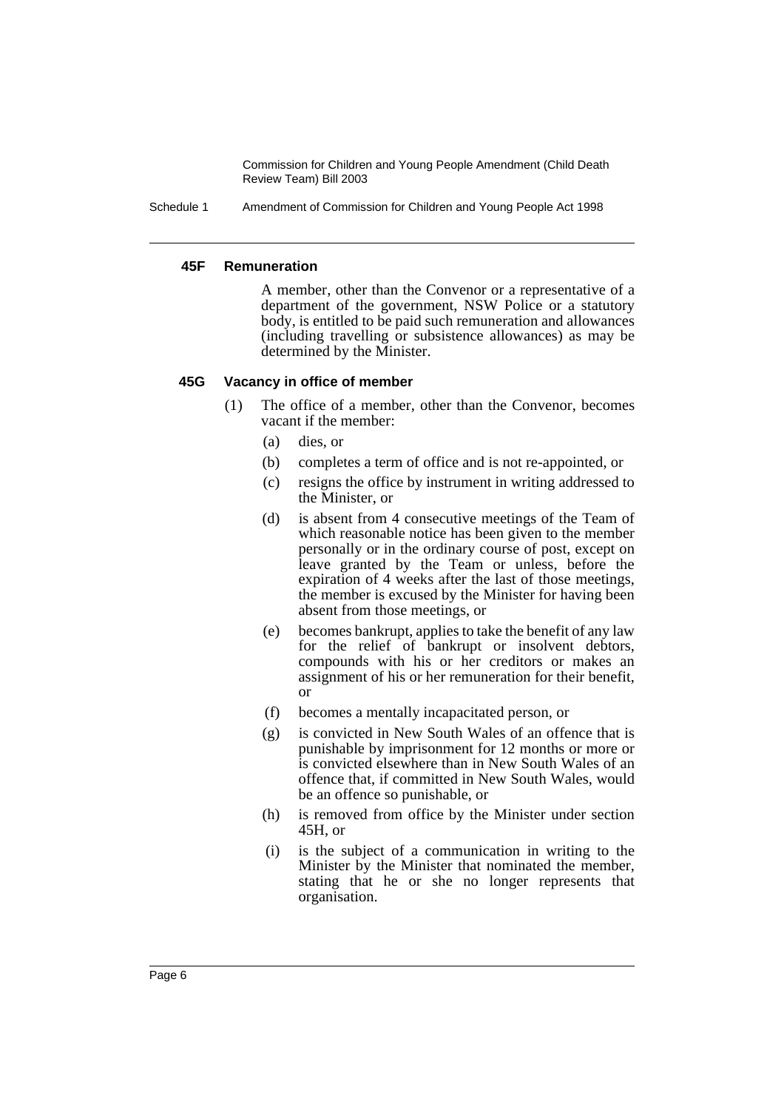Schedule 1 Amendment of Commission for Children and Young People Act 1998

#### **45F Remuneration**

A member, other than the Convenor or a representative of a department of the government, NSW Police or a statutory body, is entitled to be paid such remuneration and allowances (including travelling or subsistence allowances) as may be determined by the Minister.

#### **45G Vacancy in office of member**

- (1) The office of a member, other than the Convenor, becomes vacant if the member:
	- (a) dies, or
	- (b) completes a term of office and is not re-appointed, or
	- (c) resigns the office by instrument in writing addressed to the Minister, or
	- (d) is absent from 4 consecutive meetings of the Team of which reasonable notice has been given to the member personally or in the ordinary course of post, except on leave granted by the Team or unless, before the expiration of 4 weeks after the last of those meetings, the member is excused by the Minister for having been absent from those meetings, or
	- (e) becomes bankrupt, applies to take the benefit of any law for the relief of bankrupt or insolvent debtors, compounds with his or her creditors or makes an assignment of his or her remuneration for their benefit, or
	- (f) becomes a mentally incapacitated person, or
	- (g) is convicted in New South Wales of an offence that is punishable by imprisonment for 12 months or more or is convicted elsewhere than in New South Wales of an offence that, if committed in New South Wales, would be an offence so punishable, or
	- (h) is removed from office by the Minister under section 45H, or
	- (i) is the subject of a communication in writing to the Minister by the Minister that nominated the member, stating that he or she no longer represents that organisation.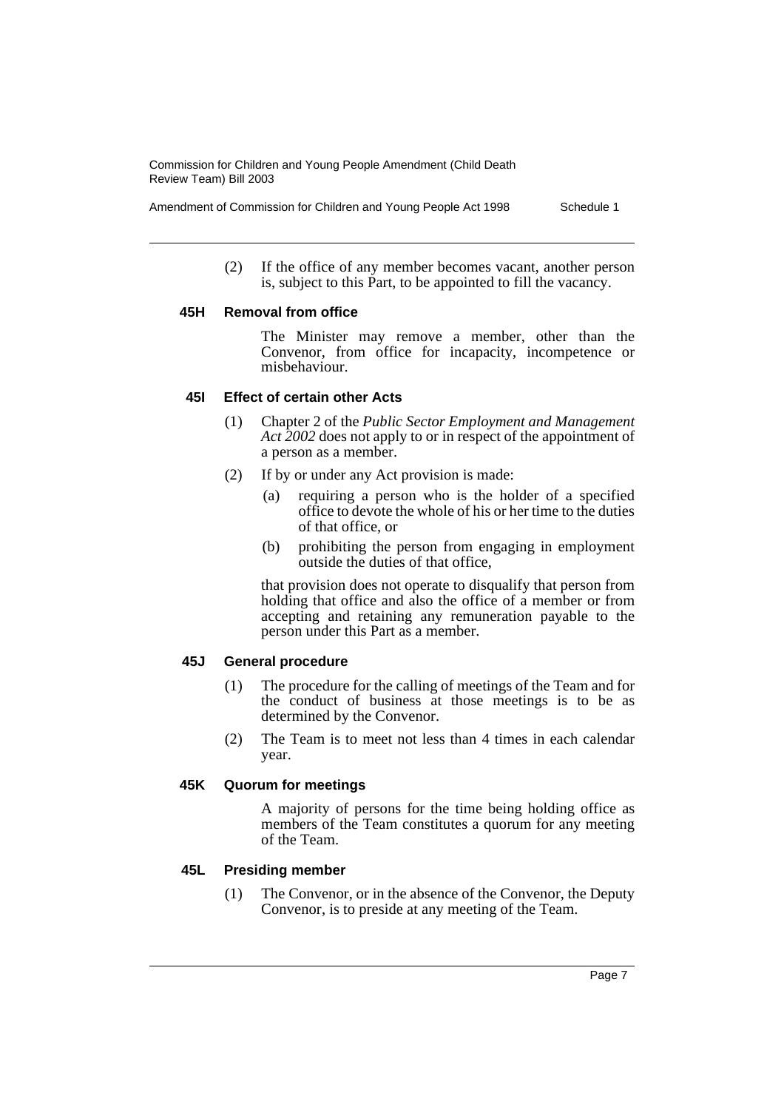(2) If the office of any member becomes vacant, another person is, subject to this Part, to be appointed to fill the vacancy.

#### **45H Removal from office**

The Minister may remove a member, other than the Convenor, from office for incapacity, incompetence or misbehaviour.

#### **45I Effect of certain other Acts**

- (1) Chapter 2 of the *Public Sector Employment and Management Act 2002* does not apply to or in respect of the appointment of a person as a member.
- (2) If by or under any Act provision is made:
	- (a) requiring a person who is the holder of a specified office to devote the whole of his or her time to the duties of that office, or
	- (b) prohibiting the person from engaging in employment outside the duties of that office,

that provision does not operate to disqualify that person from holding that office and also the office of a member or from accepting and retaining any remuneration payable to the person under this Part as a member.

### **45J General procedure**

- (1) The procedure for the calling of meetings of the Team and for the conduct of business at those meetings is to be as determined by the Convenor.
- (2) The Team is to meet not less than 4 times in each calendar year.

#### **45K Quorum for meetings**

A majority of persons for the time being holding office as members of the Team constitutes a quorum for any meeting of the Team.

#### **45L Presiding member**

(1) The Convenor, or in the absence of the Convenor, the Deputy Convenor, is to preside at any meeting of the Team.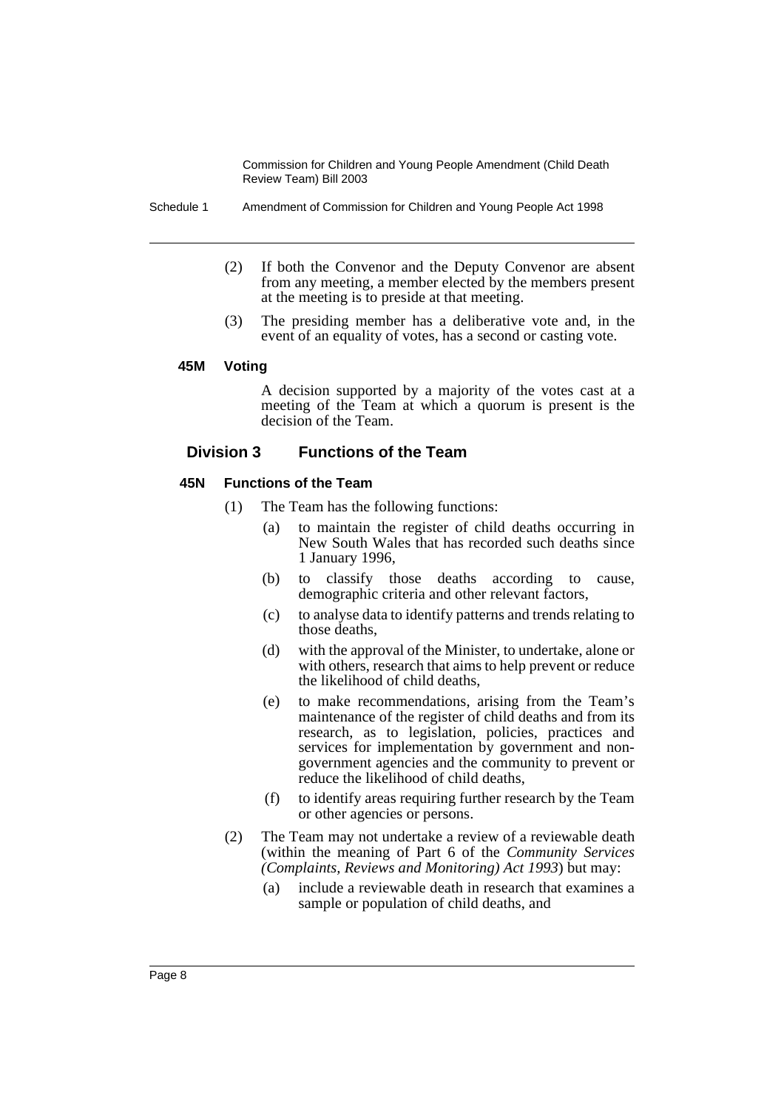Schedule 1 Amendment of Commission for Children and Young People Act 1998

- (2) If both the Convenor and the Deputy Convenor are absent from any meeting, a member elected by the members present at the meeting is to preside at that meeting.
- (3) The presiding member has a deliberative vote and, in the event of an equality of votes, has a second or casting vote.

#### **45M Voting**

A decision supported by a majority of the votes cast at a meeting of the Team at which a quorum is present is the decision of the Team.

# **Division 3 Functions of the Team**

#### **45N Functions of the Team**

- (1) The Team has the following functions:
	- (a) to maintain the register of child deaths occurring in New South Wales that has recorded such deaths since 1 January 1996,
	- (b) to classify those deaths according to cause, demographic criteria and other relevant factors,
	- (c) to analyse data to identify patterns and trends relating to those deaths,
	- (d) with the approval of the Minister, to undertake, alone or with others, research that aims to help prevent or reduce the likelihood of child deaths,
	- (e) to make recommendations, arising from the Team's maintenance of the register of child deaths and from its research, as to legislation, policies, practices and services for implementation by government and nongovernment agencies and the community to prevent or reduce the likelihood of child deaths,
	- (f) to identify areas requiring further research by the Team or other agencies or persons.
- (2) The Team may not undertake a review of a reviewable death (within the meaning of Part 6 of the *Community Services (Complaints, Reviews and Monitoring) Act 1993*) but may:
	- (a) include a reviewable death in research that examines a sample or population of child deaths, and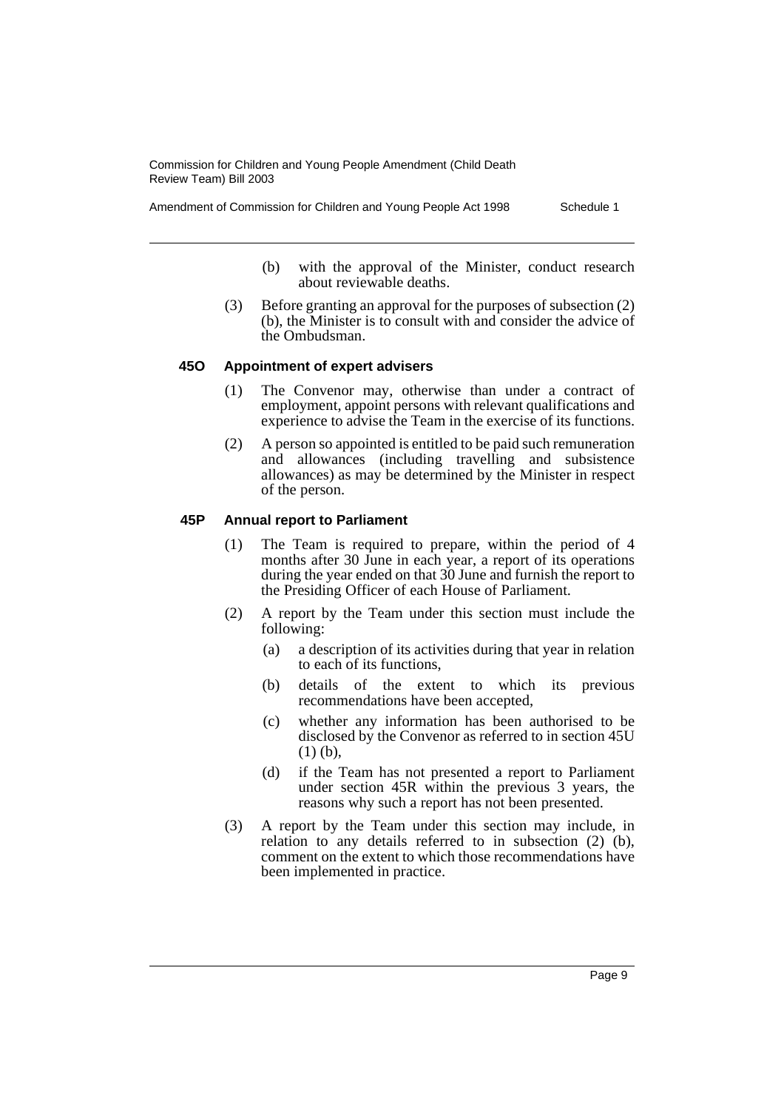Amendment of Commission for Children and Young People Act 1998 Schedule 1

- (b) with the approval of the Minister, conduct research about reviewable deaths.
- (3) Before granting an approval for the purposes of subsection (2) (b), the Minister is to consult with and consider the advice of the Ombudsman.

# **45O Appointment of expert advisers**

- (1) The Convenor may, otherwise than under a contract of employment, appoint persons with relevant qualifications and experience to advise the Team in the exercise of its functions.
- (2) A person so appointed is entitled to be paid such remuneration and allowances (including travelling and subsistence allowances) as may be determined by the Minister in respect of the person.

# **45P Annual report to Parliament**

- (1) The Team is required to prepare, within the period of 4 months after 30 June in each year, a report of its operations during the year ended on that 30 June and furnish the report to the Presiding Officer of each House of Parliament.
- (2) A report by the Team under this section must include the following:
	- (a) a description of its activities during that year in relation to each of its functions,
	- (b) details of the extent to which its previous recommendations have been accepted,
	- (c) whether any information has been authorised to be disclosed by the Convenor as referred to in section 45U (1) (b),
	- (d) if the Team has not presented a report to Parliament under section 45R within the previous 3 years, the reasons why such a report has not been presented.
- (3) A report by the Team under this section may include, in relation to any details referred to in subsection (2) (b), comment on the extent to which those recommendations have been implemented in practice.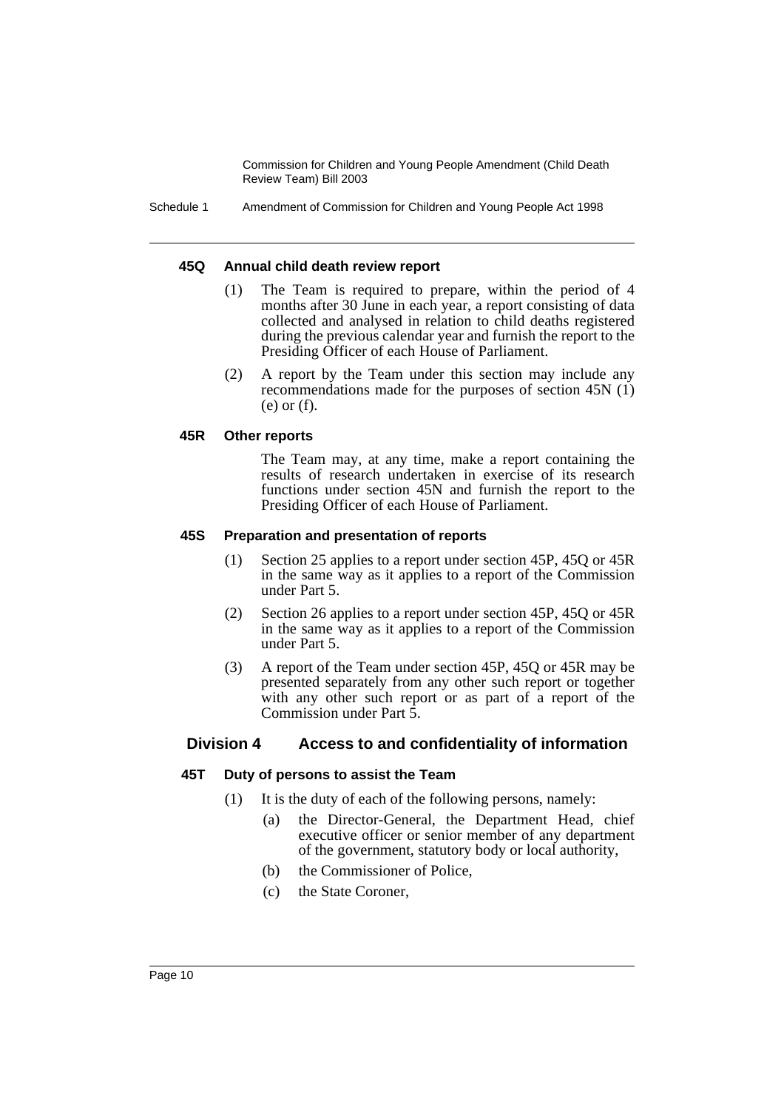Schedule 1 Amendment of Commission for Children and Young People Act 1998

#### **45Q Annual child death review report**

- (1) The Team is required to prepare, within the period of 4 months after 30 June in each year, a report consisting of data collected and analysed in relation to child deaths registered during the previous calendar year and furnish the report to the Presiding Officer of each House of Parliament.
- (2) A report by the Team under this section may include any recommendations made for the purposes of section 45N (1) (e) or (f).

#### **45R Other reports**

The Team may, at any time, make a report containing the results of research undertaken in exercise of its research functions under section 45N and furnish the report to the Presiding Officer of each House of Parliament.

#### **45S Preparation and presentation of reports**

- (1) Section 25 applies to a report under section 45P, 45Q or 45R in the same way as it applies to a report of the Commission under Part 5.
- (2) Section 26 applies to a report under section 45P, 45Q or 45R in the same way as it applies to a report of the Commission under Part 5.
- (3) A report of the Team under section 45P, 45Q or 45R may be presented separately from any other such report or together with any other such report or as part of a report of the Commission under Part 5.

# **Division 4 Access to and confidentiality of information**

#### **45T Duty of persons to assist the Team**

- (1) It is the duty of each of the following persons, namely:
	- (a) the Director-General, the Department Head, chief executive officer or senior member of any department of the government, statutory body or local authority,
	- (b) the Commissioner of Police,
	- (c) the State Coroner,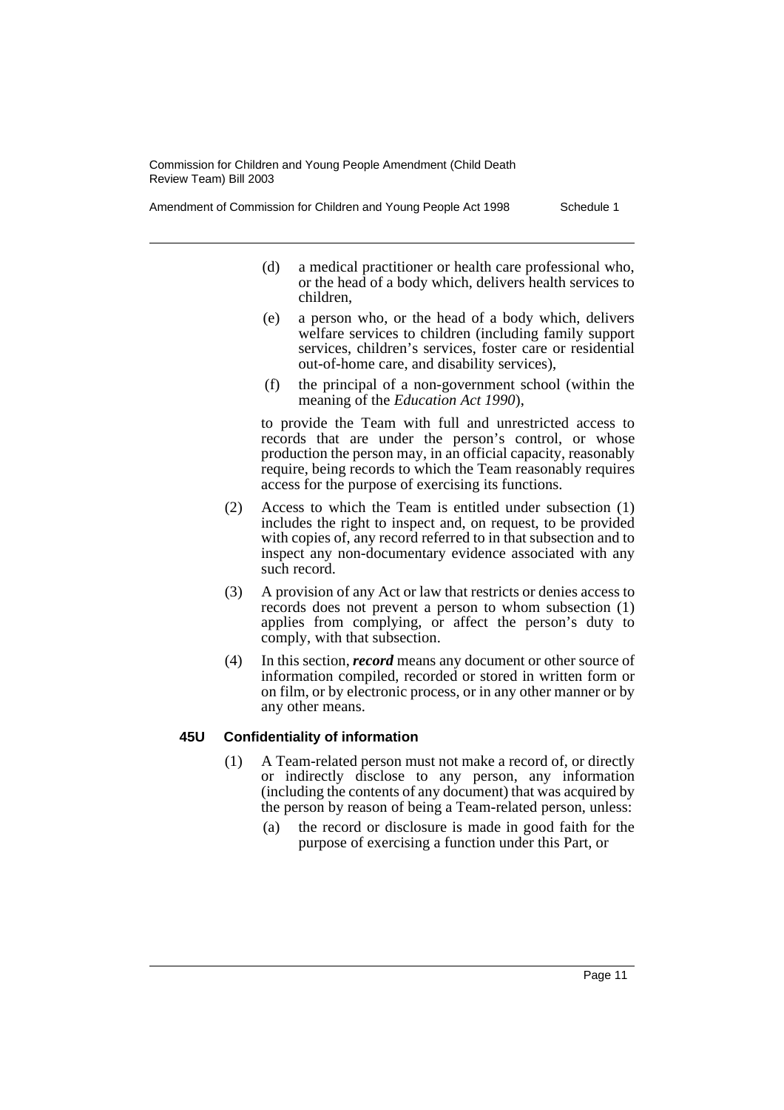Amendment of Commission for Children and Young People Act 1998 Schedule 1

- (d) a medical practitioner or health care professional who, or the head of a body which, delivers health services to children,
- (e) a person who, or the head of a body which, delivers welfare services to children (including family support services, children's services, foster care or residential out-of-home care, and disability services),
- (f) the principal of a non-government school (within the meaning of the *Education Act 1990*),

to provide the Team with full and unrestricted access to records that are under the person's control, or whose production the person may, in an official capacity, reasonably require, being records to which the Team reasonably requires access for the purpose of exercising its functions.

- (2) Access to which the Team is entitled under subsection (1) includes the right to inspect and, on request, to be provided with copies of, any record referred to in that subsection and to inspect any non-documentary evidence associated with any such record.
- (3) A provision of any Act or law that restricts or denies access to records does not prevent a person to whom subsection (1) applies from complying, or affect the person's duty to comply, with that subsection.
- (4) In this section, *record* means any document or other source of information compiled, recorded or stored in written form or on film, or by electronic process, or in any other manner or by any other means.

#### **45U Confidentiality of information**

- (1) A Team-related person must not make a record of, or directly or indirectly disclose to any person, any information (including the contents of any document) that was acquired by the person by reason of being a Team-related person, unless:
	- (a) the record or disclosure is made in good faith for the purpose of exercising a function under this Part, or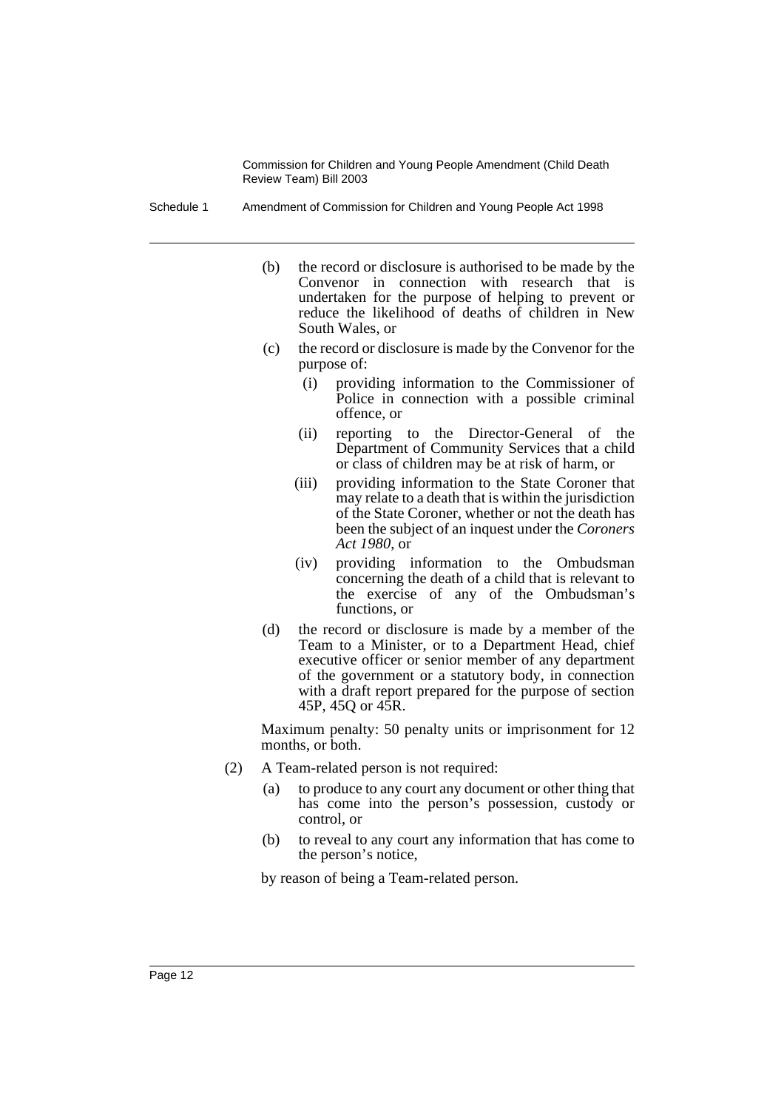Schedule 1 Amendment of Commission for Children and Young People Act 1998

- (b) the record or disclosure is authorised to be made by the Convenor in connection with research that is undertaken for the purpose of helping to prevent or reduce the likelihood of deaths of children in New South Wales, or
- (c) the record or disclosure is made by the Convenor for the purpose of:
	- (i) providing information to the Commissioner of Police in connection with a possible criminal offence, or
	- (ii) reporting to the Director-General of the Department of Community Services that a child or class of children may be at risk of harm, or
	- (iii) providing information to the State Coroner that may relate to a death that is within the jurisdiction of the State Coroner, whether or not the death has been the subject of an inquest under the *Coroners Act 1980*, or
	- (iv) providing information to the Ombudsman concerning the death of a child that is relevant to the exercise of any of the Ombudsman's functions, or
- (d) the record or disclosure is made by a member of the Team to a Minister, or to a Department Head, chief executive officer or senior member of any department of the government or a statutory body, in connection with a draft report prepared for the purpose of section 45P, 45Q or 45R.

Maximum penalty: 50 penalty units or imprisonment for 12 months, or both.

- (2) A Team-related person is not required:
	- (a) to produce to any court any document or other thing that has come into the person's possession, custody or control, or
	- (b) to reveal to any court any information that has come to the person's notice,

by reason of being a Team-related person.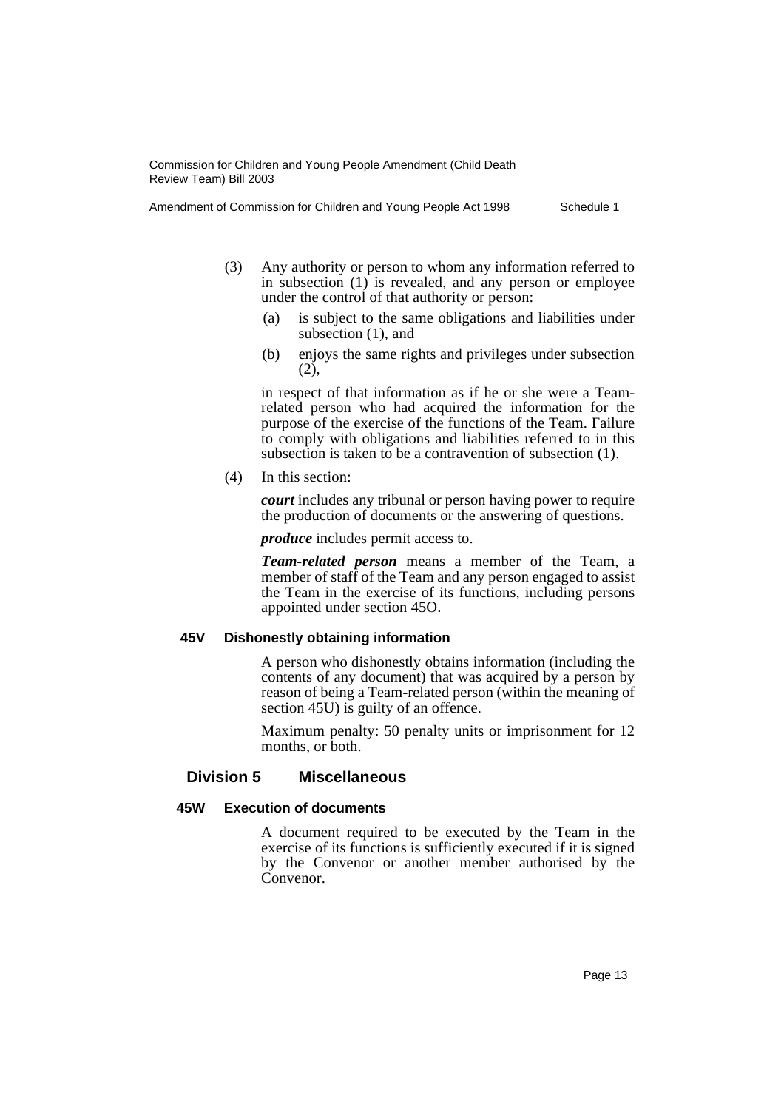Amendment of Commission for Children and Young People Act 1998 Schedule 1

- (3) Any authority or person to whom any information referred to in subsection (1) is revealed, and any person or employee under the control of that authority or person:
	- (a) is subject to the same obligations and liabilities under subsection (1), and
	- (b) enjoys the same rights and privileges under subsection (2),

in respect of that information as if he or she were a Teamrelated person who had acquired the information for the purpose of the exercise of the functions of the Team. Failure to comply with obligations and liabilities referred to in this subsection is taken to be a contravention of subsection (1).

(4) In this section:

*court* includes any tribunal or person having power to require the production of documents or the answering of questions.

*produce* includes permit access to.

*Team-related person* means a member of the Team, a member of staff of the Team and any person engaged to assist the Team in the exercise of its functions, including persons appointed under section 45O.

#### **45V Dishonestly obtaining information**

A person who dishonestly obtains information (including the contents of any document) that was acquired by a person by reason of being a Team-related person (within the meaning of section 45U) is guilty of an offence.

Maximum penalty: 50 penalty units or imprisonment for 12 months, or both.

# **Division 5 Miscellaneous**

#### **45W Execution of documents**

A document required to be executed by the Team in the exercise of its functions is sufficiently executed if it is signed by the Convenor or another member authorised by the Convenor.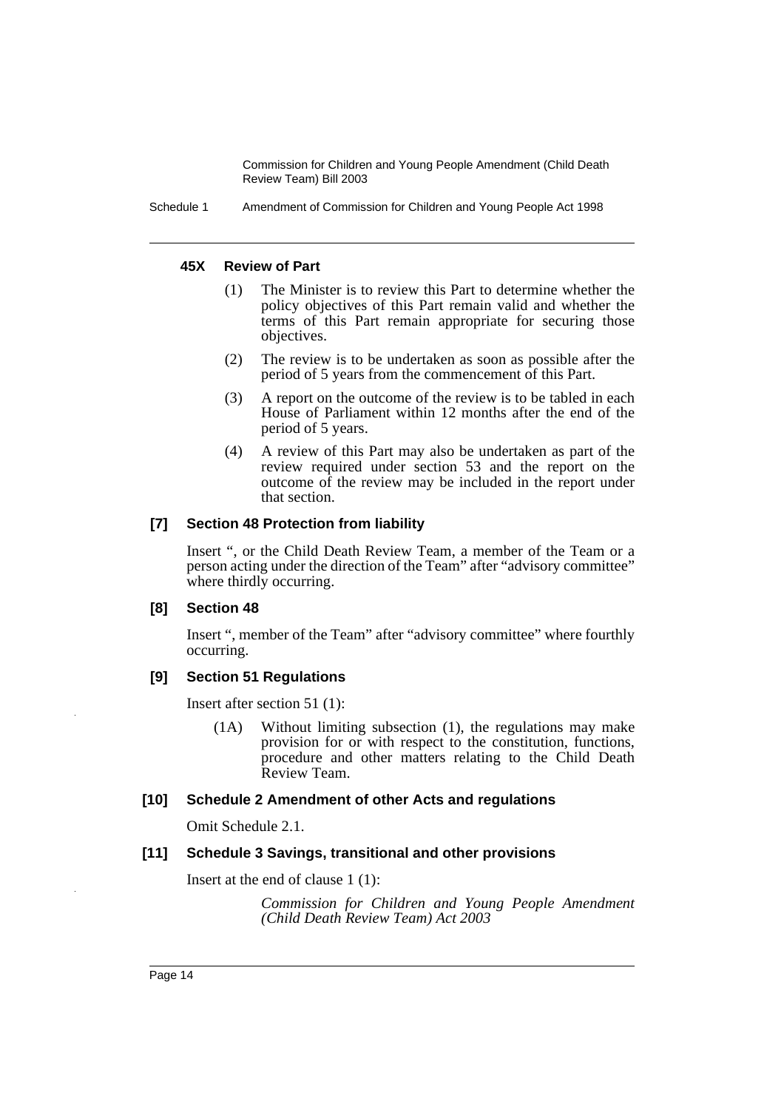Schedule 1 Amendment of Commission for Children and Young People Act 1998

## **45X Review of Part**

- (1) The Minister is to review this Part to determine whether the policy objectives of this Part remain valid and whether the terms of this Part remain appropriate for securing those objectives.
- (2) The review is to be undertaken as soon as possible after the period of 5 years from the commencement of this Part.
- (3) A report on the outcome of the review is to be tabled in each House of Parliament within 12 months after the end of the period of 5 years.
- (4) A review of this Part may also be undertaken as part of the review required under section 53 and the report on the outcome of the review may be included in the report under that section.

# **[7] Section 48 Protection from liability**

Insert ", or the Child Death Review Team, a member of the Team or a person acting under the direction of the Team" after "advisory committee" where thirdly occurring.

#### **[8] Section 48**

Insert ", member of the Team" after "advisory committee" where fourthly occurring.

# **[9] Section 51 Regulations**

Insert after section 51 (1):

(1A) Without limiting subsection (1), the regulations may make provision for or with respect to the constitution, functions, procedure and other matters relating to the Child Death Review Team.

# **[10] Schedule 2 Amendment of other Acts and regulations**

Omit Schedule 2.1.

# **[11] Schedule 3 Savings, transitional and other provisions**

Insert at the end of clause 1 (1):

*Commission for Children and Young People Amendment (Child Death Review Team) Act 2003*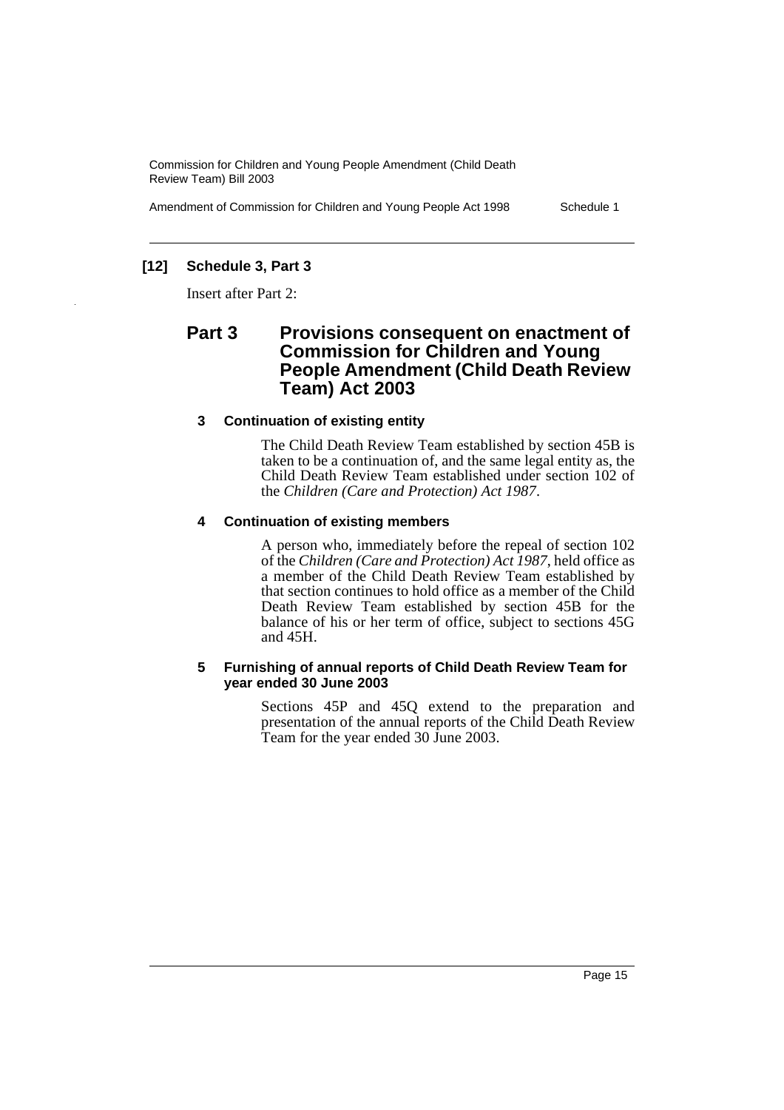Amendment of Commission for Children and Young People Act 1998 Schedule 1

# **[12] Schedule 3, Part 3**

Insert after Part 2:

# **Part 3 Provisions consequent on enactment of Commission for Children and Young People Amendment (Child Death Review Team) Act 2003**

# **3 Continuation of existing entity**

The Child Death Review Team established by section 45B is taken to be a continuation of, and the same legal entity as, the Child Death Review Team established under section 102 of the *Children (Care and Protection) Act 1987*.

#### **4 Continuation of existing members**

A person who, immediately before the repeal of section 102 of the *Children (Care and Protection) Act 1987*, held office as a member of the Child Death Review Team established by that section continues to hold office as a member of the Child Death Review Team established by section 45B for the balance of his or her term of office, subject to sections 45G and 45H.

#### **5 Furnishing of annual reports of Child Death Review Team for year ended 30 June 2003**

Sections 45P and 45Q extend to the preparation and presentation of the annual reports of the Child Death Review Team for the year ended 30 June 2003.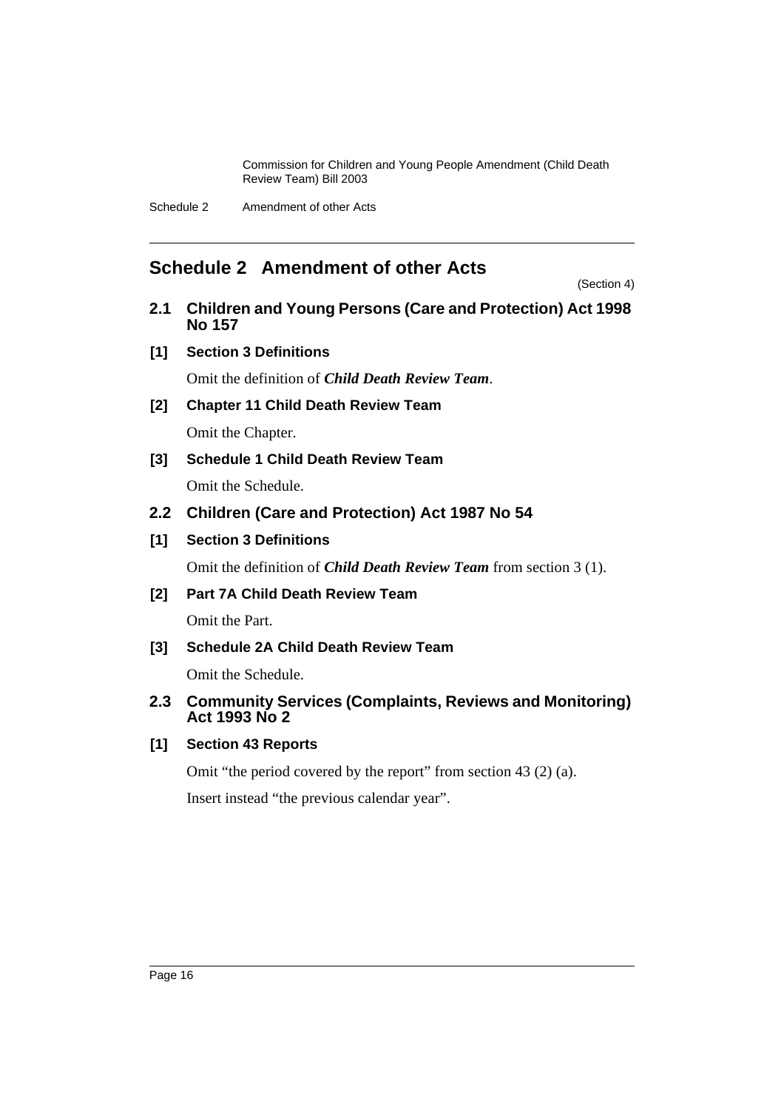Schedule 2 Amendment of other Acts

# <span id="page-16-0"></span>**Schedule 2 Amendment of other Acts**

(Section 4)

- **2.1 Children and Young Persons (Care and Protection) Act 1998 No 157**
- **[1] Section 3 Definitions**

Omit the definition of *Child Death Review Team*.

- **[2] Chapter 11 Child Death Review Team** Omit the Chapter.
- **[3] Schedule 1 Child Death Review Team**

Omit the Schedule.

- **2.2 Children (Care and Protection) Act 1987 No 54**
- **[1] Section 3 Definitions**

Omit the definition of *Child Death Review Team* from section 3 (1).

**[2] Part 7A Child Death Review Team**

Omit the Part.

**[3] Schedule 2A Child Death Review Team**

Omit the Schedule.

# **2.3 Community Services (Complaints, Reviews and Monitoring) Act 1993 No 2**

# **[1] Section 43 Reports**

Omit "the period covered by the report" from section 43 (2) (a).

Insert instead "the previous calendar year".